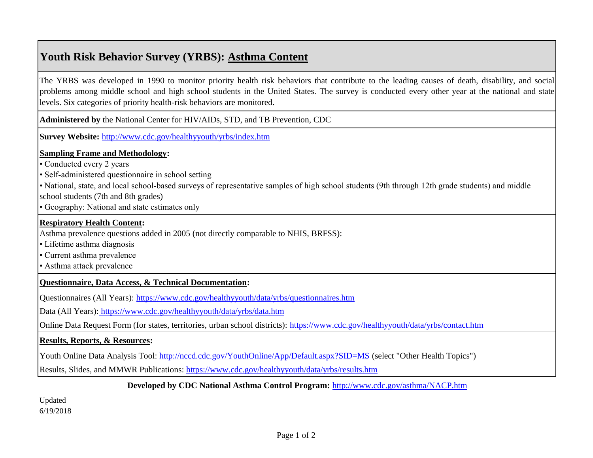# **Youth Risk Behavior Survey (YRBS): Asthma Content**

The YRBS was developed in 1990 to monitor priority health risk behaviors that contribute to the leading causes of death, disability, and social problems among middle school and high school students in the United States. The survey is conducted every other year at the national and state levels. Six categories of priority health-risk behaviors are monitored.

**Administered by** the National Center for HIV/AIDs, STD, and TB Prevention, CDC

**[Survey Website:](http://www.cdc.gov/healthyyouth/yrbs/index.htm)** <http://www.cdc.gov/healthyyouth/yrbs/index.htm>

## **Sampling Frame and Methodology:**

• Conducted every 2 years

• Self-administered questionnaire in school setting

• National, state, and local school-based surveys of representative samples of high school students (9th through 12th grade students) and middle

school students (7th and 8th grades)

• Geography: National and state estimates only

## **Respiratory Health Content:**

Asthma prevalence questions added in 2005 (not directly comparable to NHIS, BRFSS):

• Lifetime asthma diagnosis

• Current asthma prevalence

• Asthma attack prevalence

## **Questionnaire, Data Access, & Technical Documentation:**

[Questionnaires \(All Years\): https://www.cdc.gov/healthyyouth/data/yrbs/questionnaires.htm](https://www.cdc.gov/healthyyouth/data/yrbs/questionnaires.htm)

[Data \(All Years\): https://www.cdc.gov/healthyyouth/data/yrbs/data.htm](https://www.cdc.gov/healthyyouth/data/yrbs/data.htm)

[Online Data Request Form \(for states, territories, urban school districts\): https://www.cdc.gov/healthyyouth/data/yrbs/contact.htm](https://www.cdc.gov/healthyyouth/data/yrbs/contact.htm)

## **Results, Reports, & Resources:**

[Youth Online Data Analysis Tool: http://nccd.cdc.gov/YouthOnline/App/Default.aspx?SID=MS \(select "Other Health Topics"\)](http://nccd.cdc.gov/YouthOnline/App/Default.aspx?SID=MS)

[Results, Slides, and MMWR Publications: https://www.cdc.gov/healthyyouth/data/yrbs/results.htm](https://www.cdc.gov/healthyyouth/data/yrbs/results.htm)

## **[Developed by CDC National Asthma Control Program:](http://www.cdc.gov/asthma/NACP.htm)** <http://www.cdc.gov/asthma/NACP.htm>

Updated 6/19/2018